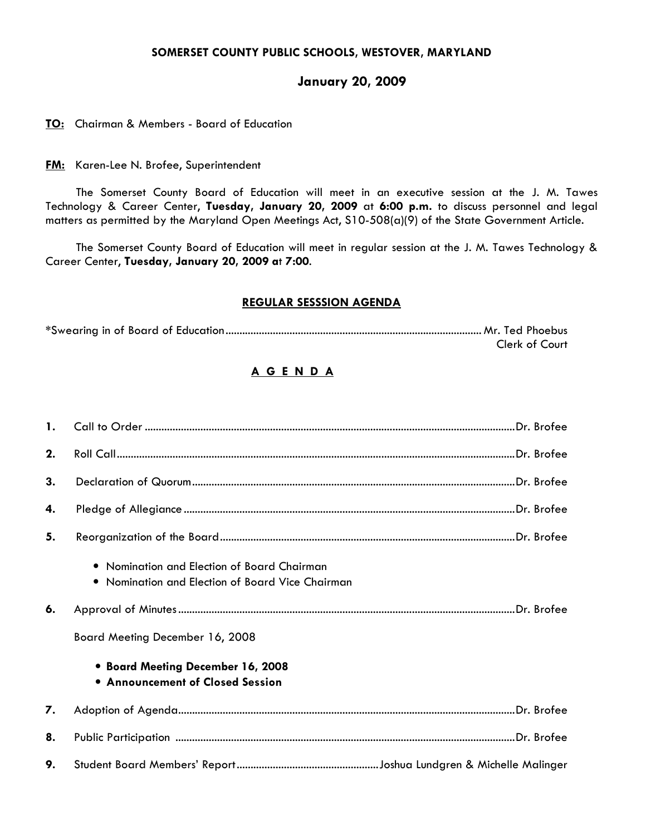### SOMERSET COUNTY PUBLIC SCHOOLS, WESTOVER, MARYLAND

# January 20, 2009

#### TO: Chairman & Members - Board of Education

**FM:** Karen-Lee N. Brofee, Superintendent

 The Somerset County Board of Education will meet in an executive session at the J. M. Tawes Technology & Career Center, Tuesday, January 20, 2009 at 6:00 p.m. to discuss personnel and legal matters as permitted by the Maryland Open Meetings Act, S10-508(a)(9) of the State Government Article.

The Somerset County Board of Education will meet in regular session at the J. M. Tawes Technology & Career Center, Tuesday, January 20, 2009 at 7:00.

#### REGULAR SESSSION AGENDA

|  | Clerk of Court |
|--|----------------|

# A G E N D A

| $\mathbf{1}$ . |                                                                                                                                                                                                                    |  |
|----------------|--------------------------------------------------------------------------------------------------------------------------------------------------------------------------------------------------------------------|--|
| 2.             |                                                                                                                                                                                                                    |  |
| 3.             |                                                                                                                                                                                                                    |  |
| 4.             |                                                                                                                                                                                                                    |  |
| 5.             |                                                                                                                                                                                                                    |  |
| 6.             | • Nomination and Election of Board Chairman<br>• Nomination and Election of Board Vice Chairman<br>Board Meeting December 16, 2008<br>• Board Meeting December 16, 2008<br><b>• Announcement of Closed Session</b> |  |
|                |                                                                                                                                                                                                                    |  |
| 7.             |                                                                                                                                                                                                                    |  |
| 8.             |                                                                                                                                                                                                                    |  |
| 9.             |                                                                                                                                                                                                                    |  |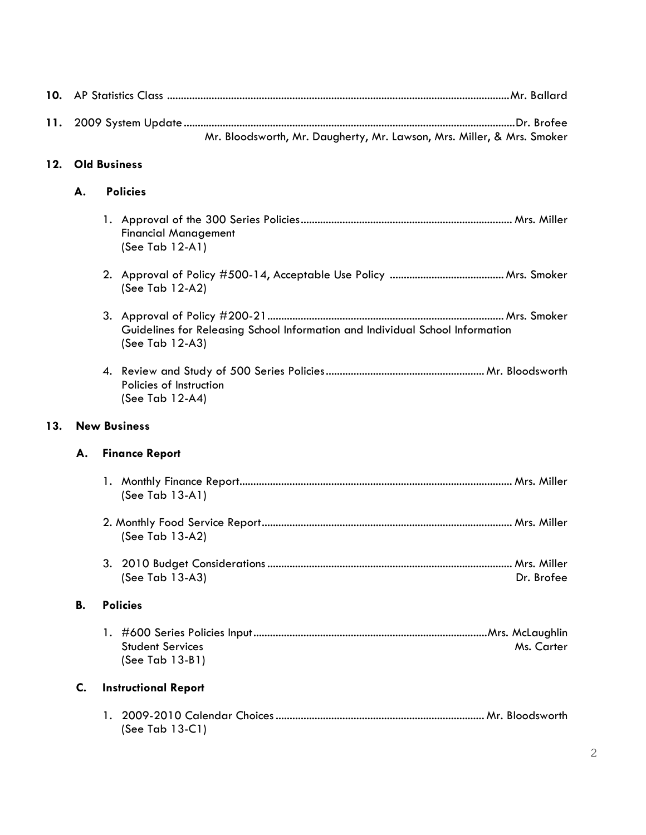| 10. |                                                                        |                                                                                                  |  |  |
|-----|------------------------------------------------------------------------|--------------------------------------------------------------------------------------------------|--|--|
| 11. | Mr. Bloodsworth, Mr. Daugherty, Mr. Lawson, Mrs. Miller, & Mrs. Smoker |                                                                                                  |  |  |
| 12. |                                                                        | <b>Old Business</b>                                                                              |  |  |
|     | <b>Policies</b><br>А.                                                  |                                                                                                  |  |  |
|     |                                                                        | <b>Financial Management</b><br>(See Tab $12-A1$ )                                                |  |  |
|     |                                                                        | (See Tab 12-A2)                                                                                  |  |  |
|     |                                                                        | Guidelines for Releasing School Information and Individual School Information<br>(See Tab 12-A3) |  |  |
|     |                                                                        | Policies of Instruction<br>(See Tab 12-A4)                                                       |  |  |
| 13. | <b>New Business</b>                                                    |                                                                                                  |  |  |
|     | <b>Finance Report</b><br>А.                                            |                                                                                                  |  |  |
|     |                                                                        | (See Tab 13-A1)                                                                                  |  |  |
|     |                                                                        | (See Tab 13-A2)                                                                                  |  |  |
|     |                                                                        | (See Tab 13-A3)<br>Dr. Brofee                                                                    |  |  |
|     | В.                                                                     | <b>Policies</b>                                                                                  |  |  |
|     |                                                                        | <b>Student Services</b><br>Ms. Carter<br>(See Tab 13-B1)                                         |  |  |
|     | C.                                                                     | <b>Instructional Report</b>                                                                      |  |  |
|     |                                                                        | (See Tab $13-C1$ )                                                                               |  |  |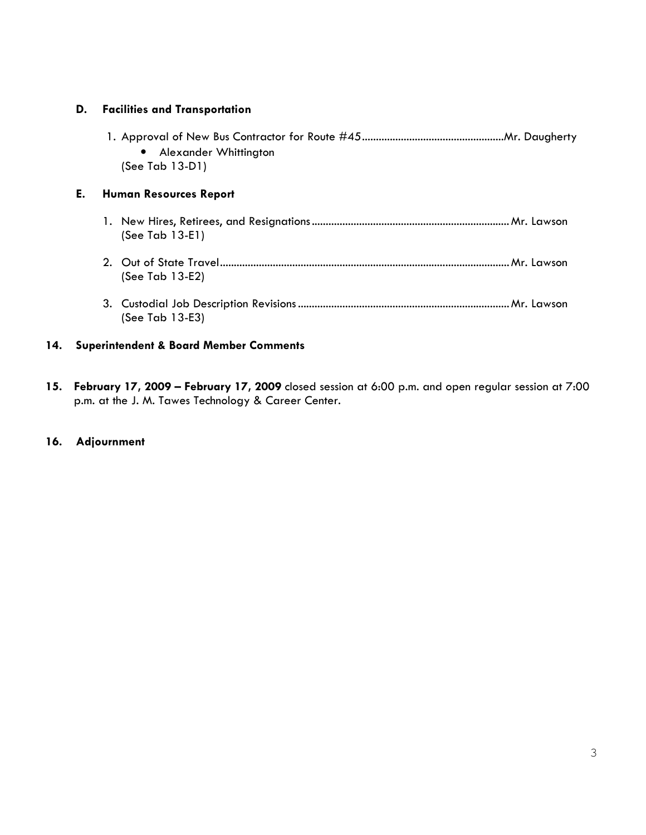## D. Facilities and Transportation

| • Alexander Whittington |  |
|-------------------------|--|
| $(See Tab 13-D1)$       |  |
|                         |  |

# E. Human Resources Report

- 1. New Hires, Retirees, and Resignations.......................................................................Mr. Lawson (See Tab 13-E1)
- 2. Out of State Travel........................................................................................................Mr. Lawson (See Tab 13-E2)
- 3. Custodial Job Description Revisions ............................................................................Mr. Lawson (See Tab 13-E3)

#### 14. Superintendent & Board Member Comments

15. February 17, 2009 – February 17, 2009 closed session at 6:00 p.m. and open regular session at 7:00 p.m. at the J. M. Tawes Technology & Career Center.

#### 16. Adjournment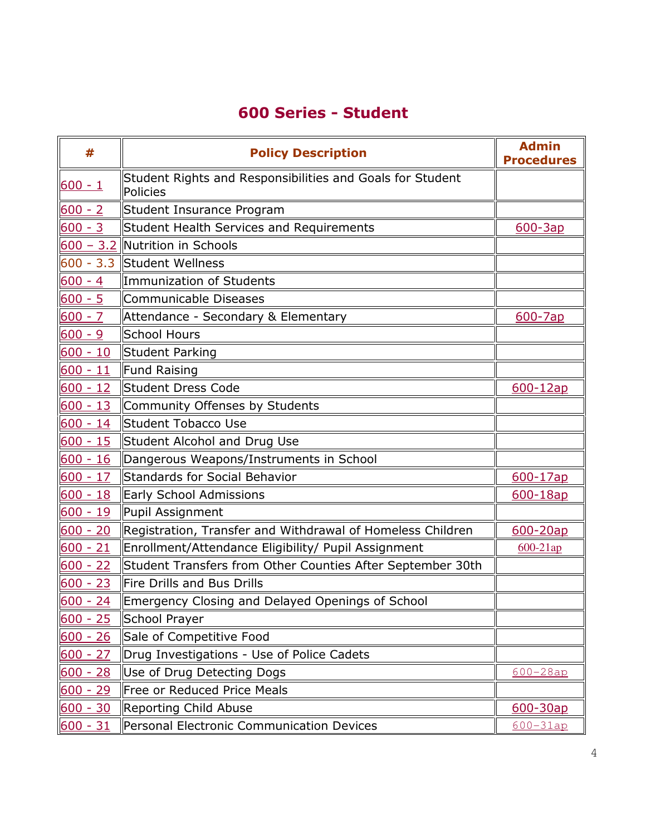# 600 Series - Student

| #          | <b>Policy Description</b>                                             | <b>Admin</b><br><b>Procedures</b> |
|------------|-----------------------------------------------------------------------|-----------------------------------|
| $600 - 1$  | Student Rights and Responsibilities and Goals for Student<br>Policies |                                   |
| $600 - 2$  | Student Insurance Program                                             |                                   |
| $600 - 3$  | Student Health Services and Requirements                              | $600 - 3ap$                       |
|            | 600 - 3.2 Nutrition in Schools                                        |                                   |
|            | 600 - 3.3 Student Wellness                                            |                                   |
| $600 - 4$  | Immunization of Students                                              |                                   |
| $600 - 5$  | Communicable Diseases                                                 |                                   |
| $600 - 7$  | Attendance - Secondary & Elementary                                   | 600-7ap                           |
| $600 - 9$  | School Hours                                                          |                                   |
| $600 - 10$ | Student Parking                                                       |                                   |
| $600 - 11$ | <b>Fund Raising</b>                                                   |                                   |
| $600 - 12$ | <b>Student Dress Code</b>                                             | $600 - 12ap$                      |
| $600 - 13$ | Community Offenses by Students                                        |                                   |
| $600 - 14$ | Student Tobacco Use                                                   |                                   |
| $600 - 15$ | Student Alcohol and Drug Use                                          |                                   |
| $600 - 16$ | Dangerous Weapons/Instruments in School                               |                                   |
| $600 - 17$ | <b>Standards for Social Behavior</b>                                  | 600-17ap                          |
| $600 - 18$ | <b>Early School Admissions</b>                                        | 600-18ap                          |
| $600 - 19$ | Pupil Assignment                                                      |                                   |
| $600 - 20$ | Registration, Transfer and Withdrawal of Homeless Children            | 600-20ap                          |
| $600 - 21$ | Enrollment/Attendance Eligibility/ Pupil Assignment                   | $600 - 21ap$                      |
| $600 - 22$ | Student Transfers from Other Counties After September 30th            |                                   |
| $600 - 23$ | Fire Drills and Bus Drills                                            |                                   |
| $600 - 24$ | Emergency Closing and Delayed Openings of School                      |                                   |
| $600 - 25$ | School Prayer                                                         |                                   |
| $600 - 26$ | Sale of Competitive Food                                              |                                   |
| $600 - 27$ | Drug Investigations - Use of Police Cadets                            |                                   |
| $600 - 28$ | Use of Drug Detecting Dogs                                            | $600 - 28ap$                      |
| $600 - 29$ | Free or Reduced Price Meals                                           |                                   |
| $600 - 30$ | <b>Reporting Child Abuse</b>                                          | 600-30ap                          |
| $600 - 31$ | Personal Electronic Communication Devices                             | $600 - 31ap$                      |